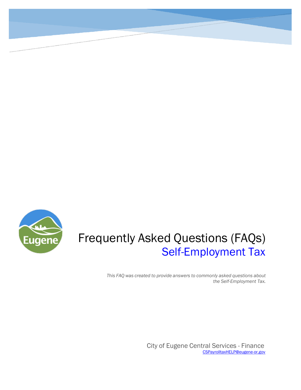

# Frequently Asked Questions (FAQs) Self-Employment Tax

*This FAQ was created to provide answers to commonly asked questions about the Self-Employment Tax.*

> City of Eugene Central Services - Finance [CSPayrolltaxHELP@eugene-or.gov](mailto:CSPayrolltaxHELP@eugene-or.gov)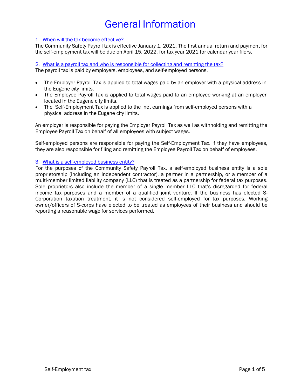# General Information

### 1. When will the tax become effective?

The Community Safety Payroll tax is effective January 1, 2021. The first annual return and payment for the self-employment tax will be due on April 15, 2022, for tax year 2021 for calendar year filers.

2. What is a payroll tax and who is responsible for collecting and remitting the tax? The payroll tax is paid by employers, employees, and self-employed persons.

- The Employer Payroll Tax is applied to total wages paid by an employer with a physical address in the Eugene city limits.
- The Employee Payroll Tax is applied to total wages paid to an employee working at an employer located in the Eugene city limits.
- The Self-Employment Tax is applied to the net earnings from self-employed persons with a physical address in the Eugene city limits.

An employer is responsible for paying the Employer Payroll Tax as well as withholding and remitting the Employee Payroll Tax on behalf of all employees with subject wages.

Self-employed persons are responsible for paying the Self-Employment Tax. If they have employees, they are also responsible for filing and remitting the Employee Payroll Tax on behalf of employees.

### 3. What is a self-employed business entity?

For the purposes of the Community Safety Payroll Tax, a self-employed business entity is a sole proprietorship (including an independent contractor), a partner in a partnership, or a member of a multi-member limited liability company (LLC) that is treated as a partnership for federal tax purposes. Sole proprietors also include the member of a single member LLC that's disregarded for federal income tax purposes and a member of a qualified joint venture. If the business has elected S-Corporation taxation treatment, it is not considered self-employed for tax purposes. Working owner/officers of S-corps have elected to be treated as employees of their business and should be reporting a reasonable wage for services performed.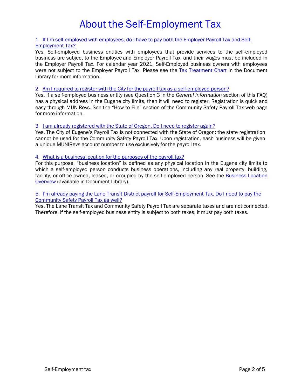# About the Self-Employment Tax

#### 1. If I'm self-employed with employees, do I have to pay both the Employer Payroll Tax and Self-Employment Tax?

Yes. Self-employed business entities with employees that provide services to the self-employed business are subject to the Employee and Employer Payroll Tax, and their wages must be included in the Employer Payroll Tax. For calendar year 2021, Self-Employed business owners with employees were not subject to the Employer Payroll Tax. Please see the Tax Treatment Chart in the Document Library for more information.

#### 2. Am I required to register with the City for the payroll tax as a self-employed person?

Yes. If a self-employed business entity (see Question 3 in the *General Information* section of this FAQ) has a physical address in the Eugene city limits, then it will need to register. Registration is quick and easy through MUNIRevs. See the "How to File" section of the Community Safety Payroll Tax web page for more information.

#### 3. I am already registered with the State of Oregon. Do I need to register again?

Yes. The City of Eugene's Payroll Tax is not connected with the State of Oregon; the state registration cannot be used for the Community Safety Payroll Tax. Upon registration, each business will be given a unique MUNIRevs account number to use exclusively for the payroll tax.

#### 4. What is a business location for the purposes of the payroll tax?

For this purpose, "business location" is defined as any physical location in the Eugene city limits to which a self-employed person conducts business operations, including any real property, building, facility, or office owned, leased, or occupied by the self-employed person. See the Business Location Overview (available in Document Library).

### 5. I'm already paying the Lane Transit District payroll for Self-Employment Tax. Do I need to pay the Community Safety Payroll Tax as well?

Yes. The Lane Transit Tax and Community Safety Payroll Tax are separate taxes and are not connected. Therefore, if the self-employed business entity is subject to both taxes, it must pay both taxes.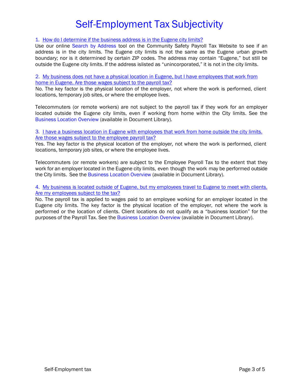# Self-Employment Tax Subjectivity

1. How do I determine if the business address is in the Eugene city limits?

Use our online Search by Address tool on the Community Safety Payroll Tax Website to see if an address is in the city limits. The Eugene city limits is not the same as the Eugene urban growth boundary; nor is it determined by certain ZIP codes. The address may contain "Eugene," but still be outside the Eugene city limits. If the address islisted as "unincorporated," it is not in the city limits.

2. My business does not have a physical location in Eugene, but I have employees that work from home in Eugene. Are those wages subject to the payroll tax?

No. The key factor is the physical location of the employer*,* not where the work is performed, client locations, temporary job sites, or where the employee lives.

Telecommuters (or remote workers) are not subject to the payroll tax if they work for an employer located outside the Eugene city limits, even if working from home within the City limits. See the Business Location Overview (available in Document Library).

3. I have a business location in Eugene with employees that work from home outside the city limits. Are those wages subject to the employee payroll tax?

Yes. The key factor is the physical location of the employer*,* not where the work is performed, client locations, temporary job sites, or where the employee lives.

Telecommuters (or remote workers) are subject to the Employee Payroll Tax to the extent that they work for an employer located in the Eugene city limits, even though the work may be performed outside the City limits. See the Business Location Overview (available in Document Library).

4. My business is located outside of Eugene, but my employees travel to Eugene to meet with clients. Are my employees subject to the tax?

No. The payroll tax is applied to wages paid to an employee working for an employer located in the Eugene city limits. The key factor is the physical location of the employer, not where the work is performed or the location of clients. Client locations do not qualify as a "business location" for the purposes of the Payroll Tax. See the Business Location Overview (available in Document Library).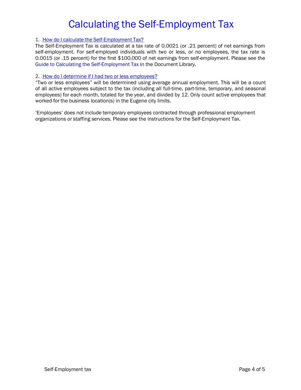# Calculating the Self-Employment Tax

### 1. How do I calculate the Self-Employment Tax?

The Self-Employment Tax is calculated at a tax rate of 0.0021 (or .21 percent) of net earnings from self-employment. For self-employed individuals with two or less, or no employees, the tax rate is 0.0015 (or .15 percent) for the first \$100,000 of net earnings from self-employment. Please see the Guide to Calculating the Self-Employment Tax in the Document Library.

#### 2. How do I determine if I had two or less employees?

"Two or less employees" will be determined using average annual employment. This will be a count of all active employees subject to the tax (including all full-time, part-time, temporary, and seasonal employees) for each month, totaled for the year, and divided by 12. Only count active employees that worked for the business location(s) in the Eugene city limits.

'Employees' does not include temporary employees contracted through professional employment organizations or staffing services. Please see the instructions for the Self-Employment Tax.